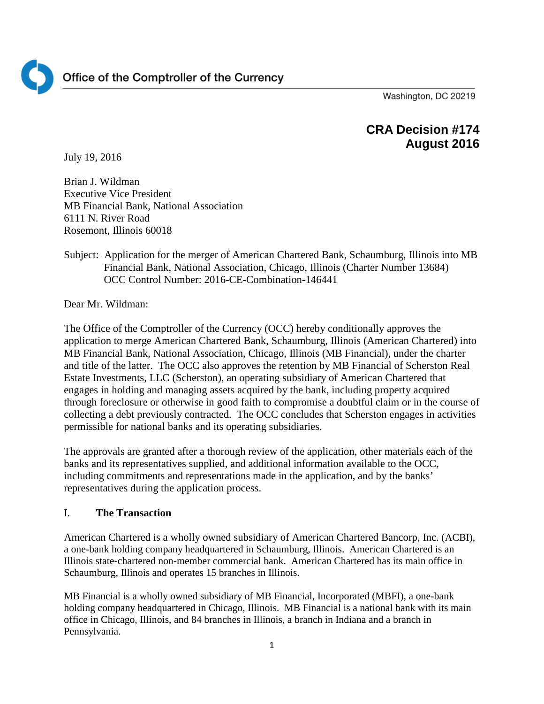

Washington, DC 20219

# **CRA Decision #174 August 2016**

July 19, 2016

Brian J. Wildman Executive Vice President MB Financial Bank, National Association 6111 N. River Road Rosemont, Illinois 60018

## Subject: Application for the merger of American Chartered Bank, Schaumburg, Illinois into MB Financial Bank, National Association, Chicago, Illinois (Charter Number 13684) OCC Control Number: 2016-CE-Combination-146441

Dear Mr. Wildman:

The Office of the Comptroller of the Currency (OCC) hereby conditionally approves the application to merge American Chartered Bank, Schaumburg, Illinois (American Chartered) into MB Financial Bank, National Association, Chicago, Illinois (MB Financial), under the charter and title of the latter. The OCC also approves the retention by MB Financial of Scherston Real Estate Investments, LLC (Scherston), an operating subsidiary of American Chartered that engages in holding and managing assets acquired by the bank, including property acquired through foreclosure or otherwise in good faith to compromise a doubtful claim or in the course of collecting a debt previously contracted. The OCC concludes that Scherston engages in activities permissible for national banks and its operating subsidiaries.

The approvals are granted after a thorough review of the application, other materials each of the banks and its representatives supplied, and additional information available to the OCC, including commitments and representations made in the application, and by the banks' representatives during the application process.

## I. **The Transaction**

American Chartered is a wholly owned subsidiary of American Chartered Bancorp, Inc. (ACBI), a one-bank holding company headquartered in Schaumburg, Illinois. American Chartered is an Illinois state-chartered non-member commercial bank. American Chartered has its main office in Schaumburg, Illinois and operates 15 branches in Illinois.

MB Financial is a wholly owned subsidiary of MB Financial, Incorporated (MBFI), a one-bank holding company headquartered in Chicago, Illinois. MB Financial is a national bank with its main office in Chicago, Illinois, and 84 branches in Illinois, a branch in Indiana and a branch in Pennsylvania.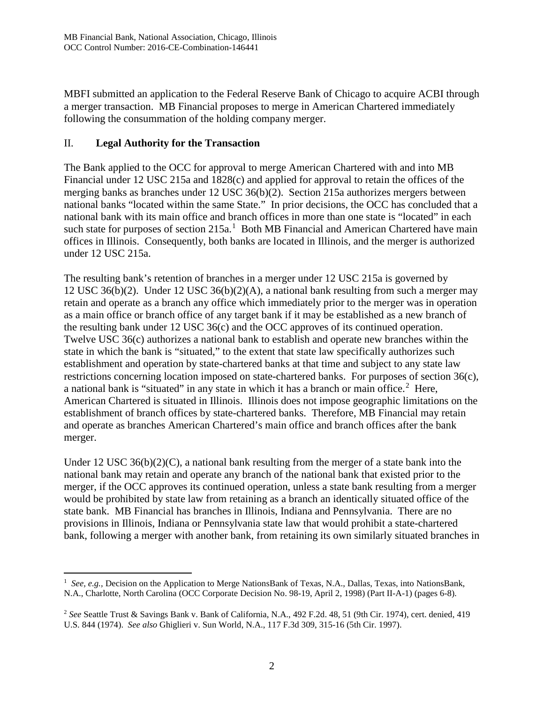MBFI submitted an application to the Federal Reserve Bank of Chicago to acquire ACBI through a merger transaction. MB Financial proposes to merge in American Chartered immediately following the consummation of the holding company merger.

#### II. **Legal Authority for the Transaction**

The Bank applied to the OCC for approval to merge American Chartered with and into MB Financial under 12 USC 215a and 1828(c) and applied for approval to retain the offices of the merging banks as branches under 12 USC 36(b)(2). Section 215a authorizes mergers between national banks "located within the same State." In prior decisions, the OCC has concluded that a national bank with its main office and branch offices in more than one state is "located" in each such state for purposes of section  $215a<sup>1</sup>$  $215a<sup>1</sup>$  $215a<sup>1</sup>$  Both MB Financial and American Chartered have main offices in Illinois. Consequently, both banks are located in Illinois, and the merger is authorized under 12 USC 215a.

The resulting bank's retention of branches in a merger under 12 USC 215a is governed by 12 USC 36(b)(2). Under 12 USC 36(b)(2)(A), a national bank resulting from such a merger may retain and operate as a branch any office which immediately prior to the merger was in operation as a main office or branch office of any target bank if it may be established as a new branch of the resulting bank under 12 USC 36(c) and the OCC approves of its continued operation. Twelve USC 36(c) authorizes a national bank to establish and operate new branches within the state in which the bank is "situated," to the extent that state law specifically authorizes such establishment and operation by state-chartered banks at that time and subject to any state law restrictions concerning location imposed on state-chartered banks. For purposes of section 36(c), a national bank is "situated" in any state in which it has a branch or main office.<sup>[2](#page-1-1)</sup> Here, American Chartered is situated in Illinois. Illinois does not impose geographic limitations on the establishment of branch offices by state-chartered banks. Therefore, MB Financial may retain and operate as branches American Chartered's main office and branch offices after the bank merger.

Under 12 USC 36(b)(2)(C), a national bank resulting from the merger of a state bank into the national bank may retain and operate any branch of the national bank that existed prior to the merger, if the OCC approves its continued operation, unless a state bank resulting from a merger would be prohibited by state law from retaining as a branch an identically situated office of the state bank. MB Financial has branches in Illinois, Indiana and Pennsylvania. There are no provisions in Illinois, Indiana or Pennsylvania state law that would prohibit a state-chartered bank, following a merger with another bank, from retaining its own similarly situated branches in

<span id="page-1-0"></span> $\frac{1}{1}$  *See, e.g.,* Decision on the Application to Merge NationsBank of Texas, N.A., Dallas, Texas, into NationsBank, N.A., Charlotte, North Carolina (OCC Corporate Decision No. 98-19, April 2, 1998) (Part II-A-1) (pages 6-8)*.*

<span id="page-1-1"></span><sup>2</sup> *See* Seattle Trust & Savings Bank v. Bank of California, N.A., 492 F.2d. 48, 51 (9th Cir. 1974), cert. denied, 419 U.S. 844 (1974). *See also* Ghiglieri v. Sun World, N.A., 117 F.3d 309, 315-16 (5th Cir. 1997).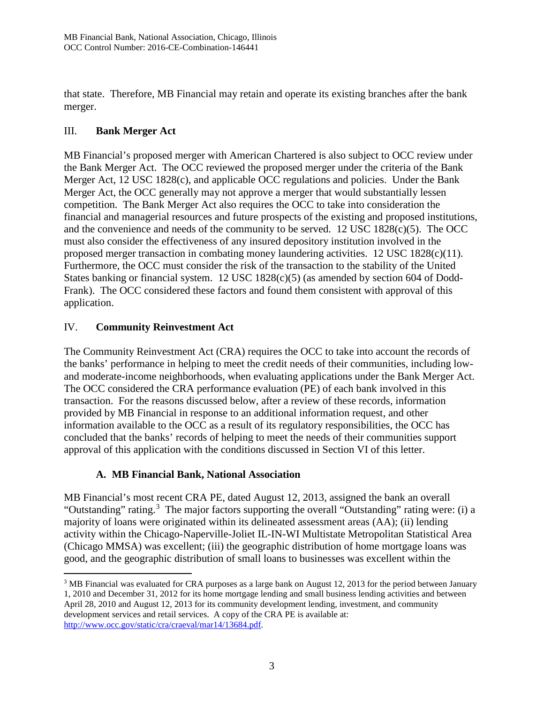that state. Therefore, MB Financial may retain and operate its existing branches after the bank merger.

# III. **Bank Merger Act**

MB Financial's proposed merger with American Chartered is also subject to OCC review under the Bank Merger Act. The OCC reviewed the proposed merger under the criteria of the Bank Merger Act, 12 USC 1828(c), and applicable OCC regulations and policies. Under the Bank Merger Act, the OCC generally may not approve a merger that would substantially lessen competition. The Bank Merger Act also requires the OCC to take into consideration the financial and managerial resources and future prospects of the existing and proposed institutions, and the convenience and needs of the community to be served. 12 USC 1828 $(c)(5)$ . The OCC must also consider the effectiveness of any insured depository institution involved in the proposed merger transaction in combating money laundering activities. 12 USC 1828(c)(11). Furthermore, the OCC must consider the risk of the transaction to the stability of the United States banking or financial system. 12 USC 1828(c)(5) (as amended by section 604 of Dodd-Frank). The OCC considered these factors and found them consistent with approval of this application.

# IV. **Community Reinvestment Act**

The Community Reinvestment Act (CRA) requires the OCC to take into account the records of the banks' performance in helping to meet the credit needs of their communities, including lowand moderate-income neighborhoods, when evaluating applications under the Bank Merger Act. The OCC considered the CRA performance evaluation (PE) of each bank involved in this transaction. For the reasons discussed below, after a review of these records, information provided by MB Financial in response to an additional information request, and other information available to the OCC as a result of its regulatory responsibilities, the OCC has concluded that the banks' records of helping to meet the needs of their communities support approval of this application with the conditions discussed in Section VI of this letter.

## **A. MB Financial Bank, National Association**

MB Financial's most recent CRA PE, dated August 12, 2013, assigned the bank an overall "Outstanding" rating.<sup>[3](#page-2-0)</sup> The major factors supporting the overall "Outstanding" rating were: (i) a majority of loans were originated within its delineated assessment areas (AA); (ii) lending activity within the Chicago-Naperville-Joliet IL-IN-WI Multistate Metropolitan Statistical Area (Chicago MMSA) was excellent; (iii) the geographic distribution of home mortgage loans was good, and the geographic distribution of small loans to businesses was excellent within the

<span id="page-2-0"></span><sup>&</sup>lt;sup>3</sup> MB Financial was evaluated for CRA purposes as a large bank on August 12, 2013 for the period between January 1, 2010 and December 31, 2012 for its home mortgage lending and small business lending activities and between April 28, 2010 and August 12, 2013 for its community development lending, investment, and community development services and retail services. A copy of the CRA PE is available at: [http://www.occ.gov/static/cra/craeval/mar14/13684.pdf.](http://www.occ.gov/static/cra/craeval/mar14/13684.pdf)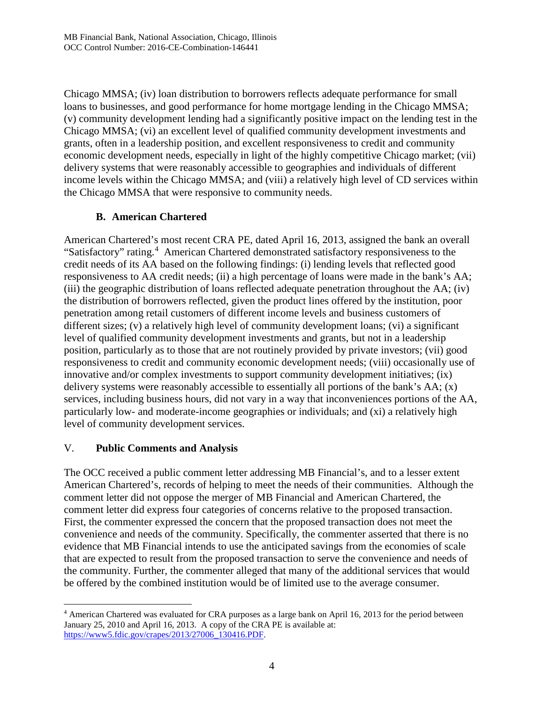Chicago MMSA; (iv) loan distribution to borrowers reflects adequate performance for small loans to businesses, and good performance for home mortgage lending in the Chicago MMSA; (v) community development lending had a significantly positive impact on the lending test in the Chicago MMSA; (vi) an excellent level of qualified community development investments and grants, often in a leadership position, and excellent responsiveness to credit and community economic development needs, especially in light of the highly competitive Chicago market; (vii) delivery systems that were reasonably accessible to geographies and individuals of different income levels within the Chicago MMSA; and (viii) a relatively high level of CD services within the Chicago MMSA that were responsive to community needs.

# **B. American Chartered**

American Chartered's most recent CRA PE, dated April 16, 2013, assigned the bank an overall "Satisfactory" rating.<sup>[4](#page-3-0)</sup> American Chartered demonstrated satisfactory responsiveness to the credit needs of its AA based on the following findings: (i) lending levels that reflected good responsiveness to AA credit needs; (ii) a high percentage of loans were made in the bank's AA; (iii) the geographic distribution of loans reflected adequate penetration throughout the AA; (iv) the distribution of borrowers reflected, given the product lines offered by the institution, poor penetration among retail customers of different income levels and business customers of different sizes; (v) a relatively high level of community development loans; (vi) a significant level of qualified community development investments and grants, but not in a leadership position, particularly as to those that are not routinely provided by private investors; (vii) good responsiveness to credit and community economic development needs; (viii) occasionally use of innovative and/or complex investments to support community development initiatives; (ix) delivery systems were reasonably accessible to essentially all portions of the bank's AA; (x) services, including business hours, did not vary in a way that inconveniences portions of the AA, particularly low- and moderate-income geographies or individuals; and (xi) a relatively high level of community development services.

# V. **Public Comments and Analysis**

The OCC received a public comment letter addressing MB Financial's, and to a lesser extent American Chartered's, records of helping to meet the needs of their communities. Although the comment letter did not oppose the merger of MB Financial and American Chartered, the comment letter did express four categories of concerns relative to the proposed transaction. First, the commenter expressed the concern that the proposed transaction does not meet the convenience and needs of the community. Specifically, the commenter asserted that there is no evidence that MB Financial intends to use the anticipated savings from the economies of scale that are expected to result from the proposed transaction to serve the convenience and needs of the community. Further, the commenter alleged that many of the additional services that would be offered by the combined institution would be of limited use to the average consumer.

<span id="page-3-0"></span> <sup>4</sup> American Chartered was evaluated for CRA purposes as a large bank on April 16, 2013 for the period between January 25, 2010 and April 16, 2013. A copy of the CRA PE is available at: [https://www5.fdic.gov/crapes/2013/27006\\_130416.PDF.](https://www5.fdic.gov/crapes/2013/27006_130416.PDF)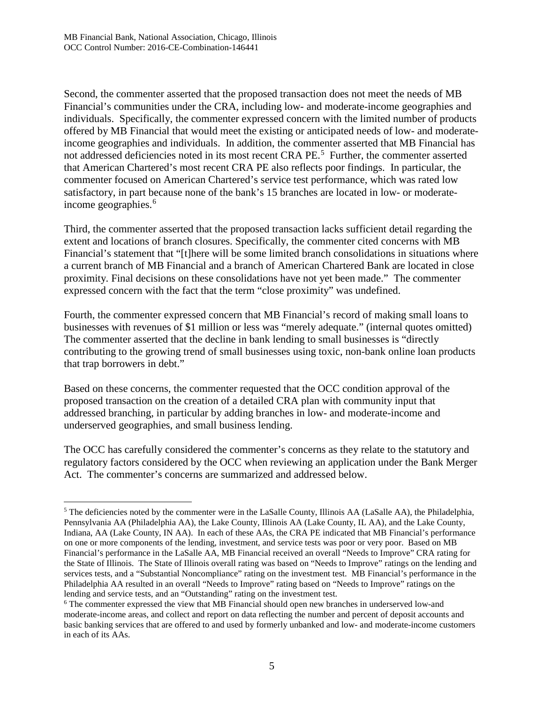Second, the commenter asserted that the proposed transaction does not meet the needs of MB Financial's communities under the CRA, including low- and moderate-income geographies and individuals. Specifically, the commenter expressed concern with the limited number of products offered by MB Financial that would meet the existing or anticipated needs of low- and moderateincome geographies and individuals. In addition, the commenter asserted that MB Financial has not addressed deficiencies noted in its most recent CRA PE.<sup>[5](#page-4-0)</sup> Further, the commenter asserted that American Chartered's most recent CRA PE also reflects poor findings. In particular, the commenter focused on American Chartered's service test performance, which was rated low satisfactory, in part because none of the bank's 15 branches are located in low- or moderate-income geographies.<sup>[6](#page-4-1)</sup>

Third, the commenter asserted that the proposed transaction lacks sufficient detail regarding the extent and locations of branch closures. Specifically, the commenter cited concerns with MB Financial's statement that "[t]here will be some limited branch consolidations in situations where a current branch of MB Financial and a branch of American Chartered Bank are located in close proximity. Final decisions on these consolidations have not yet been made." The commenter expressed concern with the fact that the term "close proximity" was undefined.

Fourth, the commenter expressed concern that MB Financial's record of making small loans to businesses with revenues of \$1 million or less was "merely adequate." (internal quotes omitted) The commenter asserted that the decline in bank lending to small businesses is "directly contributing to the growing trend of small businesses using toxic, non-bank online loan products that trap borrowers in debt."

Based on these concerns, the commenter requested that the OCC condition approval of the proposed transaction on the creation of a detailed CRA plan with community input that addressed branching, in particular by adding branches in low- and moderate-income and underserved geographies, and small business lending.

The OCC has carefully considered the commenter's concerns as they relate to the statutory and regulatory factors considered by the OCC when reviewing an application under the Bank Merger Act. The commenter's concerns are summarized and addressed below.

<span id="page-4-0"></span><sup>&</sup>lt;sup>5</sup> The deficiencies noted by the commenter were in the LaSalle County, Illinois AA (LaSalle AA), the Philadelphia, Pennsylvania AA (Philadelphia AA), the Lake County, Illinois AA (Lake County, IL AA), and the Lake County, Indiana, AA (Lake County, IN AA). In each of these AAs, the CRA PE indicated that MB Financial's performance on one or more components of the lending, investment, and service tests was poor or very poor. Based on MB Financial's performance in the LaSalle AA, MB Financial received an overall "Needs to Improve" CRA rating for the State of Illinois. The State of Illinois overall rating was based on "Needs to Improve" ratings on the lending and services tests, and a "Substantial Noncompliance" rating on the investment test. MB Financial's performance in the Philadelphia AA resulted in an overall "Needs to Improve" rating based on "Needs to Improve" ratings on the lending and service tests, and an "Outstanding" rating on the investment test.

<span id="page-4-1"></span><sup>6</sup> The commenter expressed the view that MB Financial should open new branches in underserved low-and moderate-income areas, and collect and report on data reflecting the number and percent of deposit accounts and basic banking services that are offered to and used by formerly unbanked and low- and moderate-income customers in each of its AAs.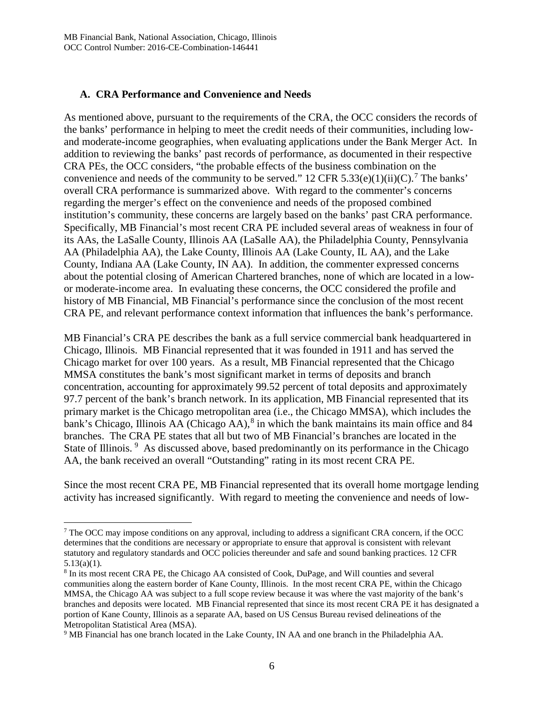#### **A. CRA Performance and Convenience and Needs**

As mentioned above, pursuant to the requirements of the CRA, the OCC considers the records of the banks' performance in helping to meet the credit needs of their communities, including lowand moderate-income geographies, when evaluating applications under the Bank Merger Act. In addition to reviewing the banks' past records of performance, as documented in their respective CRA PEs, the OCC considers, "the probable effects of the business combination on the convenience and needs of the community to be served." 12 CFR 5.33(e)(1)(ii)(C).<sup>[7](#page-5-0)</sup> The banks' overall CRA performance is summarized above. With regard to the commenter's concerns regarding the merger's effect on the convenience and needs of the proposed combined institution's community, these concerns are largely based on the banks' past CRA performance. Specifically, MB Financial's most recent CRA PE included several areas of weakness in four of its AAs, the LaSalle County, Illinois AA (LaSalle AA), the Philadelphia County, Pennsylvania AA (Philadelphia AA), the Lake County, Illinois AA (Lake County, IL AA), and the Lake County, Indiana AA (Lake County, IN AA). In addition, the commenter expressed concerns about the potential closing of American Chartered branches, none of which are located in a lowor moderate-income area. In evaluating these concerns, the OCC considered the profile and history of MB Financial, MB Financial's performance since the conclusion of the most recent CRA PE, and relevant performance context information that influences the bank's performance.

MB Financial's CRA PE describes the bank as a full service commercial bank headquartered in Chicago, Illinois. MB Financial represented that it was founded in 1911 and has served the Chicago market for over 100 years. As a result, MB Financial represented that the Chicago MMSA constitutes the bank's most significant market in terms of deposits and branch concentration, accounting for approximately 99.52 percent of total deposits and approximately 97.7 percent of the bank's branch network. In its application, MB Financial represented that its primary market is the Chicago metropolitan area (i.e., the Chicago MMSA), which includes the bank's Chicago, Illinois AA (Chicago AA), $^8$  $^8$  in which the bank maintains its main office and 84 branches. The CRA PE states that all but two of MB Financial's branches are located in the State of Illinois.<sup>[9](#page-5-2)</sup> As discussed above, based predominantly on its performance in the Chicago AA, the bank received an overall "Outstanding" rating in its most recent CRA PE.

Since the most recent CRA PE, MB Financial represented that its overall home mortgage lending activity has increased significantly. With regard to meeting the convenience and needs of low-

<span id="page-5-0"></span><sup>&</sup>lt;sup>7</sup> The OCC may impose conditions on any approval, including to address a significant CRA concern, if the OCC determines that the conditions are necessary or appropriate to ensure that approval is consistent with relevant statutory and regulatory standards and OCC policies thereunder and safe and sound banking practices. 12 CFR  $5.13(a)(1)$ .<br><sup>8</sup> In its most recent CRA PE, the Chicago AA consisted of Cook, DuPage, and Will counties and several

<span id="page-5-1"></span>communities along the eastern border of Kane County, Illinois. In the most recent CRA PE, within the Chicago MMSA, the Chicago AA was subject to a full scope review because it was where the vast majority of the bank's branches and deposits were located. MB Financial represented that since its most recent CRA PE it has designated a portion of Kane County, Illinois as a separate AA, based on US Census Bureau revised delineations of the Metropolitan Statistical Area (MSA).

<span id="page-5-2"></span><sup>9</sup> MB Financial has one branch located in the Lake County, IN AA and one branch in the Philadelphia AA.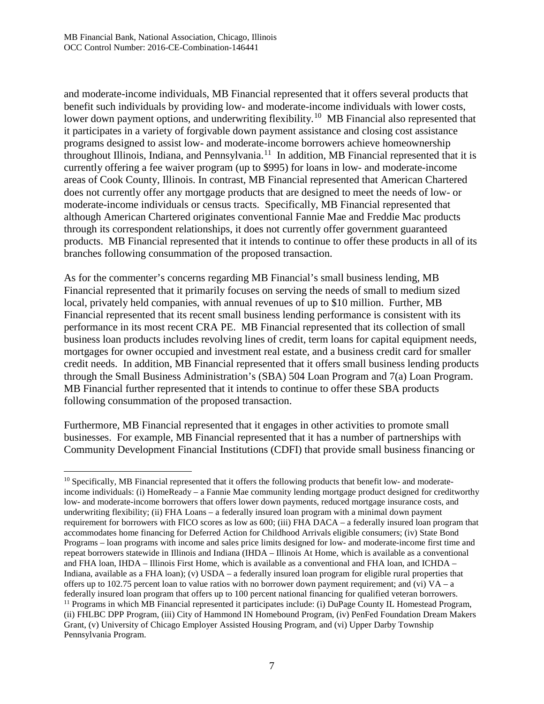and moderate-income individuals, MB Financial represented that it offers several products that benefit such individuals by providing low- and moderate-income individuals with lower costs, lower down payment options, and underwriting flexibility.<sup>[10](#page-6-0)</sup> MB Financial also represented that it participates in a variety of forgivable down payment assistance and closing cost assistance programs designed to assist low- and moderate-income borrowers achieve homeownership throughout Illinois, Indiana, and Pennsylvania.[11](#page-6-1) In addition, MB Financial represented that it is currently offering a fee waiver program (up to \$995) for loans in low- and moderate-income areas of Cook County, Illinois. In contrast, MB Financial represented that American Chartered does not currently offer any mortgage products that are designed to meet the needs of low- or moderate-income individuals or census tracts. Specifically, MB Financial represented that although American Chartered originates conventional Fannie Mae and Freddie Mac products through its correspondent relationships, it does not currently offer government guaranteed products. MB Financial represented that it intends to continue to offer these products in all of its branches following consummation of the proposed transaction.

As for the commenter's concerns regarding MB Financial's small business lending, MB Financial represented that it primarily focuses on serving the needs of small to medium sized local, privately held companies, with annual revenues of up to \$10 million. Further, MB Financial represented that its recent small business lending performance is consistent with its performance in its most recent CRA PE. MB Financial represented that its collection of small business loan products includes revolving lines of credit, term loans for capital equipment needs, mortgages for owner occupied and investment real estate, and a business credit card for smaller credit needs. In addition, MB Financial represented that it offers small business lending products through the Small Business Administration's (SBA) 504 Loan Program and 7(a) Loan Program. MB Financial further represented that it intends to continue to offer these SBA products following consummation of the proposed transaction.

Furthermore, MB Financial represented that it engages in other activities to promote small businesses. For example, MB Financial represented that it has a number of partnerships with Community Development Financial Institutions (CDFI) that provide small business financing or

<span id="page-6-1"></span><span id="page-6-0"></span><sup>&</sup>lt;sup>10</sup> Specifically, MB Financial represented that it offers the following products that benefit low- and moderateincome individuals: (i) HomeReady – a Fannie Mae community lending mortgage product designed for creditworthy low- and moderate-income borrowers that offers lower down payments, reduced mortgage insurance costs, and underwriting flexibility; (ii) FHA Loans – a federally insured loan program with a minimal down payment requirement for borrowers with FICO scores as low as 600; (iii) FHA DACA – a federally insured loan program that accommodates home financing for Deferred Action for Childhood Arrivals eligible consumers; (iv) State Bond Programs – loan programs with income and sales price limits designed for low- and moderate-income first time and repeat borrowers statewide in Illinois and Indiana (IHDA – Illinois At Home, which is available as a conventional and FHA loan, IHDA – Illinois First Home, which is available as a conventional and FHA loan, and ICHDA – Indiana, available as a FHA loan); (v) USDA – a federally insured loan program for eligible rural properties that offers up to 102.75 percent loan to value ratios with no borrower down payment requirement; and (vi)  $VA - a$ federally insured loan program that offers up to 100 percent national financing for qualified veteran borrowers. 11 Programs in which MB Financial represented it participates include: (i) DuPage County IL Homestead Program, (ii) FHLBC DPP Program, (iii) City of Hammond IN Homebound Program, (iv) PenFed Foundation Dream Makers Grant, (v) University of Chicago Employer Assisted Housing Program, and (vi) Upper Darby Township Pennsylvania Program.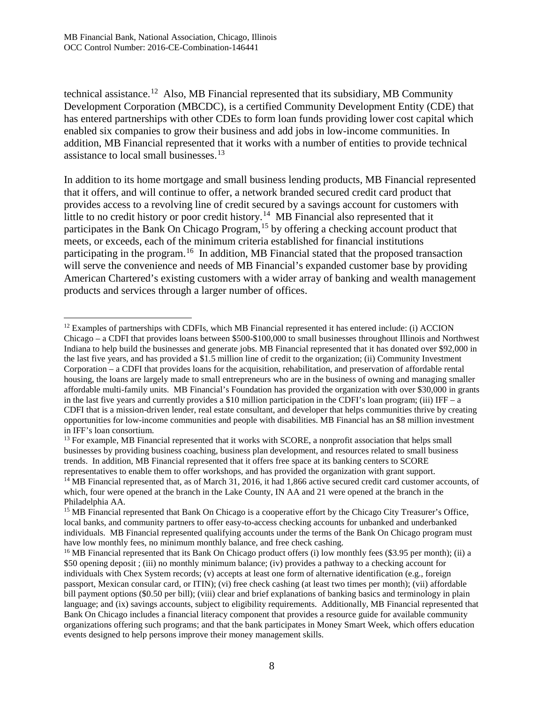technical assistance.<sup>12</sup> Also, MB Financial represented that its subsidiary, MB Community Development Corporation (MBCDC), is a certified Community Development Entity (CDE) that has entered partnerships with other CDEs to form loan funds providing lower cost capital which enabled six companies to grow their business and add jobs in low-income communities. In addition, MB Financial represented that it works with a number of entities to provide technical assistance to local small businesses.<sup>[13](#page-7-1)</sup>

In addition to its home mortgage and small business lending products, MB Financial represented that it offers, and will continue to offer, a network branded secured credit card product that provides access to a revolving line of credit secured by a savings account for customers with little to no credit history or poor credit history.<sup>[14](#page-7-2)</sup> MB Financial also represented that it participates in the Bank On Chicago Program,<sup>[15](#page-7-3)</sup> by offering a checking account product that meets, or exceeds, each of the minimum criteria established for financial institutions participating in the program.<sup>16</sup> In addition, MB Financial stated that the proposed transaction will serve the convenience and needs of MB Financial's expanded customer base by providing American Chartered's existing customers with a wider array of banking and wealth management products and services through a larger number of offices.

<span id="page-7-1"></span><sup>13</sup> For example, MB Financial represented that it works with SCORE, a nonprofit association that helps small businesses by providing business coaching, business plan development, and resources related to small business trends. In addition, MB Financial represented that it offers free space at its banking centers to SCORE representatives to enable them to offer workshops, and has provided the organization with grant support. <sup>14</sup> MB Financial represented that, as of March 31, 2016, it had 1,866 active secured credit card customer accounts, of

<span id="page-7-0"></span> $12$  Examples of partnerships with CDFIs, which MB Financial represented it has entered include: (i) ACCION Chicago – a CDFI that provides loans between \$500-\$100,000 to small businesses throughout Illinois and Northwest Indiana to help build the businesses and generate jobs. MB Financial represented that it has donated over \$92,000 in the last five years, and has provided a \$1.5 million line of credit to the organization; (ii) Community Investment Corporation – a CDFI that provides loans for the acquisition, rehabilitation, and preservation of affordable rental housing, the loans are largely made to small entrepreneurs who are in the business of owning and managing smaller affordable multi-family units. MB Financial's Foundation has provided the organization with over \$30,000 in grants in the last five years and currently provides a \$10 million participation in the CDFI's loan program; (iii) IFF – a CDFI that is a mission-driven lender, real estate consultant, and developer that helps communities thrive by creating opportunities for low-income communities and people with disabilities. MB Financial has an \$8 million investment in IFF's loan consortium.

<span id="page-7-2"></span>which, four were opened at the branch in the Lake County, IN AA and 21 were opened at the branch in the Philadelphia AA.

<span id="page-7-3"></span><sup>&</sup>lt;sup>15</sup> MB Financial represented that Bank On Chicago is a cooperative effort by the Chicago City Treasurer's Office, local banks, and community partners to offer easy-to-access checking accounts for unbanked and underbanked individuals. MB Financial represented qualifying accounts under the terms of the Bank On Chicago program must have low monthly fees, no minimum monthly balance, and free check cashing.

<span id="page-7-4"></span><sup>&</sup>lt;sup>16</sup> MB Financial represented that its Bank On Chicago product offers (i) low monthly fees (\$3.95 per month); (ii) a \$50 opening deposit ; (iii) no monthly minimum balance; (iv) provides a pathway to a checking account for individuals with Chex System records; (v) accepts at least one form of alternative identification (e.g., foreign passport, Mexican consular card, or ITIN); (vi) free check cashing (at least two times per month); (vii) affordable bill payment options (\$0.50 per bill); (viii) clear and brief explanations of banking basics and terminology in plain language; and (ix) savings accounts, subject to eligibility requirements. Additionally, MB Financial represented that Bank On Chicago includes a financial literacy component that provides a resource guide for available community organizations offering such programs; and that the bank participates in Money Smart Week, which offers education events designed to help persons improve their money management skills.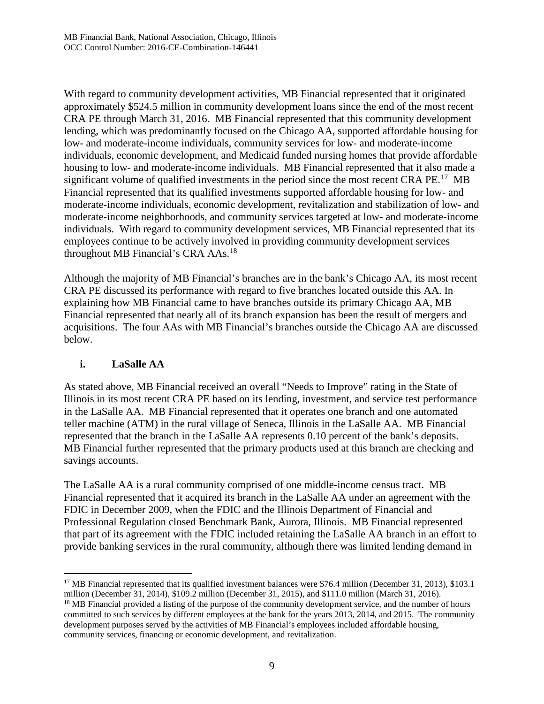With regard to community development activities, MB Financial represented that it originated approximately \$524.5 million in community development loans since the end of the most recent CRA PE through March 31, 2016. MB Financial represented that this community development lending, which was predominantly focused on the Chicago AA, supported affordable housing for low- and moderate-income individuals, community services for low- and moderate-income individuals, economic development, and Medicaid funded nursing homes that provide affordable housing to low- and moderate-income individuals. MB Financial represented that it also made a significant volume of qualified investments in the period since the most recent CRA  $PE<sup>17</sup>$  $PE<sup>17</sup>$  $PE<sup>17</sup>$  MB Financial represented that its qualified investments supported affordable housing for low- and moderate-income individuals, economic development, revitalization and stabilization of low- and moderate-income neighborhoods, and community services targeted at low- and moderate-income individuals. With regard to community development services, MB Financial represented that its employees continue to be actively involved in providing community development services throughout MB Financial's CRA AAs.[18](#page-8-1)

Although the majority of MB Financial's branches are in the bank's Chicago AA, its most recent CRA PE discussed its performance with regard to five branches located outside this AA. In explaining how MB Financial came to have branches outside its primary Chicago AA, MB Financial represented that nearly all of its branch expansion has been the result of mergers and acquisitions. The four AAs with MB Financial's branches outside the Chicago AA are discussed below.

## **i. LaSalle AA**

As stated above, MB Financial received an overall "Needs to Improve" rating in the State of Illinois in its most recent CRA PE based on its lending, investment, and service test performance in the LaSalle AA. MB Financial represented that it operates one branch and one automated teller machine (ATM) in the rural village of Seneca, Illinois in the LaSalle AA. MB Financial represented that the branch in the LaSalle AA represents 0.10 percent of the bank's deposits. MB Financial further represented that the primary products used at this branch are checking and savings accounts.

The LaSalle AA is a rural community comprised of one middle-income census tract. MB Financial represented that it acquired its branch in the LaSalle AA under an agreement with the FDIC in December 2009, when the FDIC and the Illinois Department of Financial and Professional Regulation closed Benchmark Bank, Aurora, Illinois. MB Financial represented that part of its agreement with the FDIC included retaining the LaSalle AA branch in an effort to provide banking services in the rural community, although there was limited lending demand in

<span id="page-8-0"></span><sup>&</sup>lt;sup>17</sup> MB Financial represented that its qualified investment balances were \$76.4 million (December 31, 2013), \$103.1 million (December 31, 2014), \$109.2 million (December 31, 2015), and \$111.0 million (March 31, 2016).

<span id="page-8-1"></span><sup>&</sup>lt;sup>18</sup> MB Financial provided a listing of the purpose of the community development service, and the number of hours committed to such services by different employees at the bank for the years 2013, 2014, and 2015. The community development purposes served by the activities of MB Financial's employees included affordable housing, community services, financing or economic development, and revitalization.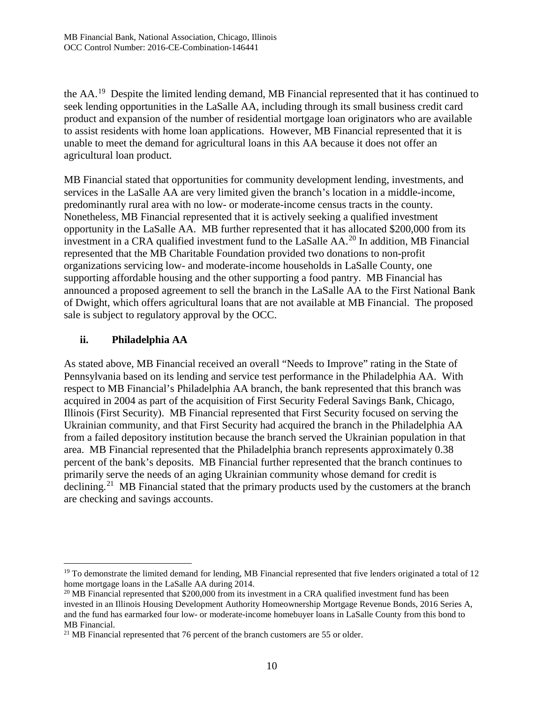the AA.[19](#page-9-0) Despite the limited lending demand, MB Financial represented that it has continued to seek lending opportunities in the LaSalle AA, including through its small business credit card product and expansion of the number of residential mortgage loan originators who are available to assist residents with home loan applications. However, MB Financial represented that it is unable to meet the demand for agricultural loans in this AA because it does not offer an agricultural loan product.

MB Financial stated that opportunities for community development lending, investments, and services in the LaSalle AA are very limited given the branch's location in a middle-income, predominantly rural area with no low- or moderate-income census tracts in the county. Nonetheless, MB Financial represented that it is actively seeking a qualified investment opportunity in the LaSalle AA. MB further represented that it has allocated \$200,000 from its investment in a CRA qualified investment fund to the LaSalle AA.[20](#page-9-1) In addition, MB Financial represented that the MB Charitable Foundation provided two donations to non-profit organizations servicing low- and moderate-income households in LaSalle County, one supporting affordable housing and the other supporting a food pantry. MB Financial has announced a proposed agreement to sell the branch in the LaSalle AA to the First National Bank of Dwight, which offers agricultural loans that are not available at MB Financial. The proposed sale is subject to regulatory approval by the OCC.

# **ii. Philadelphia AA**

As stated above, MB Financial received an overall "Needs to Improve" rating in the State of Pennsylvania based on its lending and service test performance in the Philadelphia AA. With respect to MB Financial's Philadelphia AA branch, the bank represented that this branch was acquired in 2004 as part of the acquisition of First Security Federal Savings Bank, Chicago, Illinois (First Security). MB Financial represented that First Security focused on serving the Ukrainian community, and that First Security had acquired the branch in the Philadelphia AA from a failed depository institution because the branch served the Ukrainian population in that area. MB Financial represented that the Philadelphia branch represents approximately 0.38 percent of the bank's deposits. MB Financial further represented that the branch continues to primarily serve the needs of an aging Ukrainian community whose demand for credit is declining.<sup>[21](#page-9-2)</sup> MB Financial stated that the primary products used by the customers at the branch are checking and savings accounts.

<span id="page-9-0"></span><sup>&</sup>lt;sup>19</sup> To demonstrate the limited demand for lending, MB Financial represented that five lenders originated a total of 12 home mortgage loans in the LaSalle AA during 2014.

<span id="page-9-1"></span> $^{20}$  MB Financial represented that \$200,000 from its investment in a CRA qualified investment fund has been invested in an Illinois Housing Development Authority Homeownership Mortgage Revenue Bonds, 2016 Series A, and the fund has earmarked four low- or moderate-income homebuyer loans in LaSalle County from this bond to MB Financial.

<span id="page-9-2"></span><sup>&</sup>lt;sup>21</sup> MB Financial represented that 76 percent of the branch customers are 55 or older.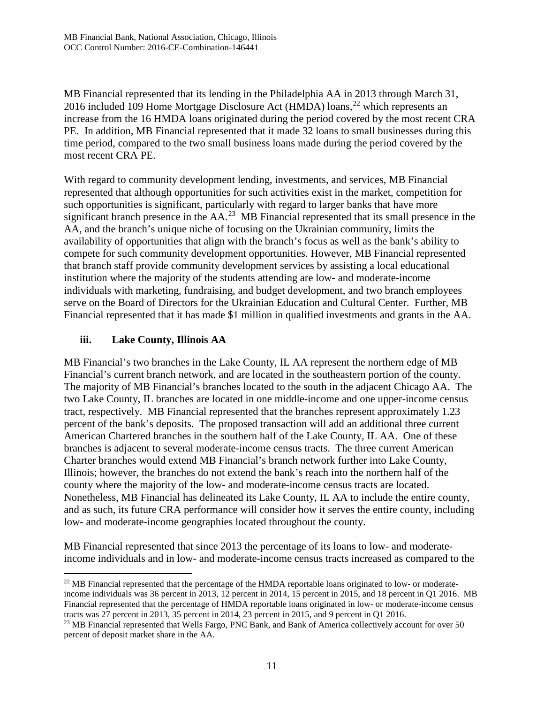MB Financial represented that its lending in the Philadelphia AA in 2013 through March 31, 2016 included 109 Home Mortgage Disclosure Act (HMDA) loans,<sup>[22](#page-10-0)</sup> which represents an increase from the 16 HMDA loans originated during the period covered by the most recent CRA PE. In addition, MB Financial represented that it made 32 loans to small businesses during this time period, compared to the two small business loans made during the period covered by the most recent CRA PE.

With regard to community development lending, investments, and services, MB Financial represented that although opportunities for such activities exist in the market, competition for such opportunities is significant, particularly with regard to larger banks that have more significant branch presence in the  $AA$ <sup>[23](#page-10-1)</sup> MB Financial represented that its small presence in the AA, and the branch's unique niche of focusing on the Ukrainian community, limits the availability of opportunities that align with the branch's focus as well as the bank's ability to compete for such community development opportunities. However, MB Financial represented that branch staff provide community development services by assisting a local educational institution where the majority of the students attending are low- and moderate-income individuals with marketing, fundraising, and budget development, and two branch employees serve on the Board of Directors for the Ukrainian Education and Cultural Center. Further, MB Financial represented that it has made \$1 million in qualified investments and grants in the AA.

## **iii. Lake County, Illinois AA**

MB Financial's two branches in the Lake County, IL AA represent the northern edge of MB Financial's current branch network, and are located in the southeastern portion of the county. The majority of MB Financial's branches located to the south in the adjacent Chicago AA. The two Lake County, IL branches are located in one middle-income and one upper-income census tract, respectively. MB Financial represented that the branches represent approximately 1.23 percent of the bank's deposits. The proposed transaction will add an additional three current American Chartered branches in the southern half of the Lake County, IL AA. One of these branches is adjacent to several moderate-income census tracts. The three current American Charter branches would extend MB Financial's branch network further into Lake County, Illinois; however, the branches do not extend the bank's reach into the northern half of the county where the majority of the low- and moderate-income census tracts are located. Nonetheless, MB Financial has delineated its Lake County, IL AA to include the entire county, and as such, its future CRA performance will consider how it serves the entire county, including low- and moderate-income geographies located throughout the county.

MB Financial represented that since 2013 the percentage of its loans to low- and moderateincome individuals and in low- and moderate-income census tracts increased as compared to the

<span id="page-10-0"></span><sup>&</sup>lt;sup>22</sup> MB Financial represented that the percentage of the HMDA reportable loans originated to low- or moderateincome individuals was 36 percent in 2013, 12 percent in 2014, 15 percent in 2015, and 18 percent in Q1 2016. MB Financial represented that the percentage of HMDA reportable loans originated in low- or moderate-income census tracts was 27 percent in 2013, 35 percent in 2014, 23 percent in 2015, and 9 percent in Q1 2016.

<span id="page-10-1"></span><sup>&</sup>lt;sup>23</sup> MB Financial represented that Wells Fargo, PNC Bank, and Bank of America collectively account for over 50 percent of deposit market share in the AA.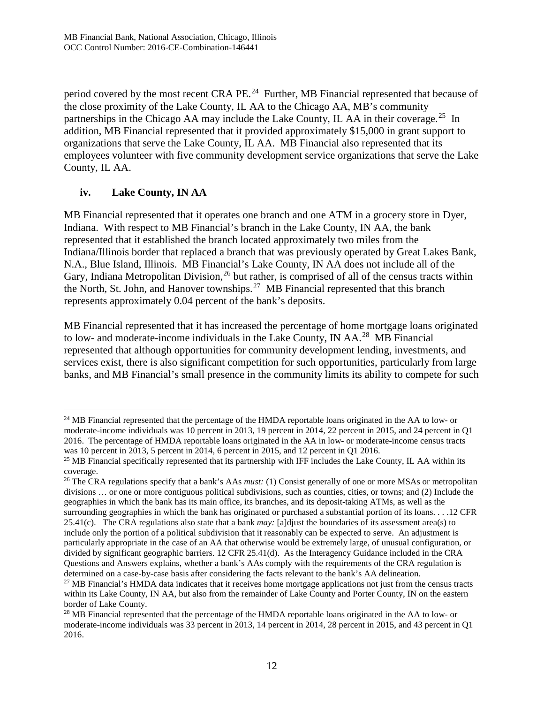period covered by the most recent CRA PE.<sup>[24](#page-11-0)</sup> Further, MB Financial represented that because of the close proximity of the Lake County, IL AA to the Chicago AA, MB's community partnerships in the Chicago AA may include the Lake County, IL AA in their coverage.<sup>25</sup> In addition, MB Financial represented that it provided approximately \$15,000 in grant support to organizations that serve the Lake County, IL AA. MB Financial also represented that its employees volunteer with five community development service organizations that serve the Lake County, IL AA.

# **iv. Lake County, IN AA**

MB Financial represented that it operates one branch and one ATM in a grocery store in Dyer, Indiana. With respect to MB Financial's branch in the Lake County, IN AA, the bank represented that it established the branch located approximately two miles from the Indiana/Illinois border that replaced a branch that was previously operated by Great Lakes Bank, N.A., Blue Island, Illinois. MB Financial's Lake County, IN AA does not include all of the Gary, Indiana Metropolitan Division,<sup>[26](#page-11-2)</sup> but rather, is comprised of all of the census tracts within the North, St. John, and Hanover townships.[27](#page-11-3) MB Financial represented that this branch represents approximately 0.04 percent of the bank's deposits.

MB Financial represented that it has increased the percentage of home mortgage loans originated to low- and moderate-income individuals in the Lake County, IN AA.[28](#page-11-4) MB Financial represented that although opportunities for community development lending, investments, and services exist, there is also significant competition for such opportunities, particularly from large banks, and MB Financial's small presence in the community limits its ability to compete for such

<span id="page-11-0"></span><sup>&</sup>lt;sup>24</sup> MB Financial represented that the percentage of the HMDA reportable loans originated in the AA to low- or moderate-income individuals was 10 percent in 2013, 19 percent in 2014, 22 percent in 2015, and 24 percent in Q1 2016. The percentage of HMDA reportable loans originated in the AA in low- or moderate-income census tracts was 10 percent in 2013, 5 percent in 2014, 6 percent in 2015, and 12 percent in Q1 2016.

<span id="page-11-1"></span><sup>&</sup>lt;sup>25</sup> MB Financial specifically represented that its partnership with IFF includes the Lake County, IL AA within its coverage.

<span id="page-11-2"></span><sup>&</sup>lt;sup>26</sup> The CRA regulations specify that a bank's AAs *must:* (1) Consist generally of one or more MSAs or metropolitan divisions … or one or more contiguous political subdivisions, such as counties, cities, or towns; and (2) Include the geographies in which the bank has its main office, its branches, and its deposit-taking ATMs, as well as the surrounding geographies in which the bank has originated or purchased a substantial portion of its loans. . . .12 CFR 25.41(c). The CRA regulations also state that a bank *may:* [a]djust the boundaries of its assessment area(s) to include only the portion of a political subdivision that it reasonably can be expected to serve. An adjustment is particularly appropriate in the case of an AA that otherwise would be extremely large, of unusual configuration, or divided by significant geographic barriers. 12 CFR 25.41(d). As the Interagency Guidance included in the CRA Questions and Answers explains, whether a bank's AAs comply with the requirements of the CRA regulation is determined on a case-by-case basis after considering the facts relevant to the bank's AA delineation.

<span id="page-11-3"></span><sup>&</sup>lt;sup>27</sup> MB Financial's HMDA data indicates that it receives home mortgage applications not just from the census tracts within its Lake County, IN AA, but also from the remainder of Lake County and Porter County, IN on the eastern border of Lake County.

<span id="page-11-4"></span><sup>&</sup>lt;sup>28</sup> MB Financial represented that the percentage of the HMDA reportable loans originated in the AA to low- or moderate-income individuals was 33 percent in 2013, 14 percent in 2014, 28 percent in 2015, and 43 percent in Q1 2016.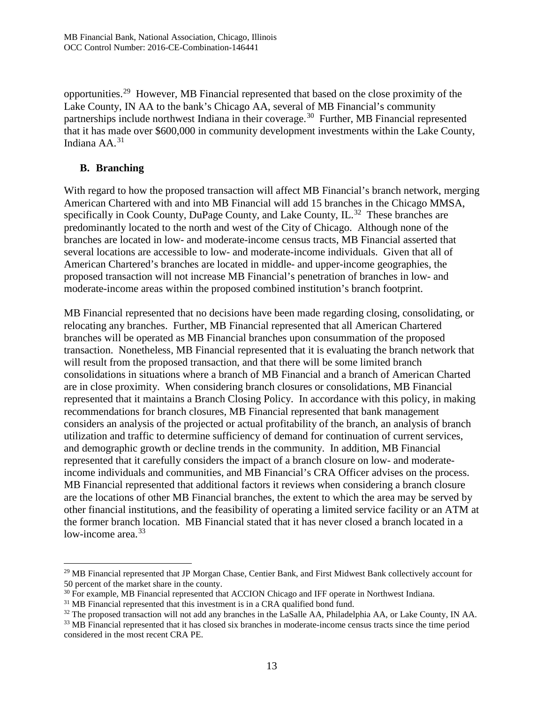opportunities.[29](#page-12-0) However, MB Financial represented that based on the close proximity of the Lake County, IN AA to the bank's Chicago AA, several of MB Financial's community partnerships include northwest Indiana in their coverage.<sup>30</sup> Further, MB Financial represented that it has made over \$600,000 in community development investments within the Lake County, Indiana AA.[31](#page-12-2)

#### **B. Branching**

With regard to how the proposed transaction will affect MB Financial's branch network, merging American Chartered with and into MB Financial will add 15 branches in the Chicago MMSA, specifically in Cook County, DuPage County, and Lake County, IL.<sup>[32](#page-12-3)</sup> These branches are predominantly located to the north and west of the City of Chicago. Although none of the branches are located in low- and moderate-income census tracts, MB Financial asserted that several locations are accessible to low- and moderate-income individuals. Given that all of American Chartered's branches are located in middle- and upper-income geographies, the proposed transaction will not increase MB Financial's penetration of branches in low- and moderate-income areas within the proposed combined institution's branch footprint.

MB Financial represented that no decisions have been made regarding closing, consolidating, or relocating any branches. Further, MB Financial represented that all American Chartered branches will be operated as MB Financial branches upon consummation of the proposed transaction. Nonetheless, MB Financial represented that it is evaluating the branch network that will result from the proposed transaction, and that there will be some limited branch consolidations in situations where a branch of MB Financial and a branch of American Charted are in close proximity. When considering branch closures or consolidations, MB Financial represented that it maintains a Branch Closing Policy. In accordance with this policy, in making recommendations for branch closures, MB Financial represented that bank management considers an analysis of the projected or actual profitability of the branch, an analysis of branch utilization and traffic to determine sufficiency of demand for continuation of current services, and demographic growth or decline trends in the community. In addition, MB Financial represented that it carefully considers the impact of a branch closure on low- and moderateincome individuals and communities, and MB Financial's CRA Officer advises on the process. MB Financial represented that additional factors it reviews when considering a branch closure are the locations of other MB Financial branches, the extent to which the area may be served by other financial institutions, and the feasibility of operating a limited service facility or an ATM at the former branch location. MB Financial stated that it has never closed a branch located in a low-income area. $33$ 

<span id="page-12-0"></span><sup>&</sup>lt;sup>29</sup> MB Financial represented that JP Morgan Chase, Centier Bank, and First Midwest Bank collectively account for 50 percent of the market share in the county.

<span id="page-12-1"></span> $30$  For example, MB Financial represented that ACCION Chicago and IFF operate in Northwest Indiana.  $31$  MB Financial represented that this investment is in a CRA qualified bond fund.

<span id="page-12-2"></span>

<span id="page-12-3"></span><sup>&</sup>lt;sup>32</sup> The proposed transaction will not add any branches in the LaSalle AA, Philadelphia AA, or Lake County, IN AA.

<span id="page-12-4"></span><sup>&</sup>lt;sup>33</sup> MB Financial represented that it has closed six branches in moderate-income census tracts since the time period considered in the most recent CRA PE.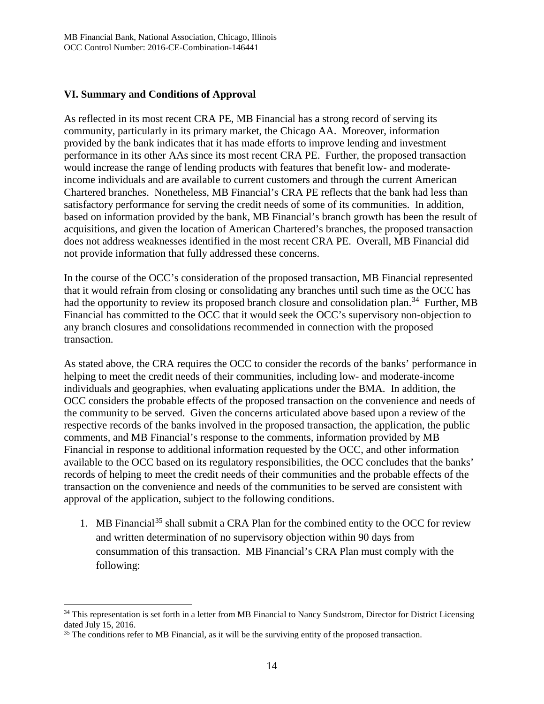## **VI. Summary and Conditions of Approval**

As reflected in its most recent CRA PE, MB Financial has a strong record of serving its community, particularly in its primary market, the Chicago AA. Moreover, information provided by the bank indicates that it has made efforts to improve lending and investment performance in its other AAs since its most recent CRA PE. Further, the proposed transaction would increase the range of lending products with features that benefit low- and moderateincome individuals and are available to current customers and through the current American Chartered branches. Nonetheless, MB Financial's CRA PE reflects that the bank had less than satisfactory performance for serving the credit needs of some of its communities. In addition, based on information provided by the bank, MB Financial's branch growth has been the result of acquisitions, and given the location of American Chartered's branches, the proposed transaction does not address weaknesses identified in the most recent CRA PE. Overall, MB Financial did not provide information that fully addressed these concerns.

In the course of the OCC's consideration of the proposed transaction, MB Financial represented that it would refrain from closing or consolidating any branches until such time as the OCC has had the opportunity to review its proposed branch closure and consolidation plan.<sup>34</sup> Further, MB Financial has committed to the OCC that it would seek the OCC's supervisory non-objection to any branch closures and consolidations recommended in connection with the proposed transaction.

As stated above, the CRA requires the OCC to consider the records of the banks' performance in helping to meet the credit needs of their communities, including low- and moderate-income individuals and geographies, when evaluating applications under the BMA. In addition, the OCC considers the probable effects of the proposed transaction on the convenience and needs of the community to be served. Given the concerns articulated above based upon a review of the respective records of the banks involved in the proposed transaction, the application, the public comments, and MB Financial's response to the comments, information provided by MB Financial in response to additional information requested by the OCC, and other information available to the OCC based on its regulatory responsibilities, the OCC concludes that the banks' records of helping to meet the credit needs of their communities and the probable effects of the transaction on the convenience and needs of the communities to be served are consistent with approval of the application, subject to the following conditions.

1. MB Financial<sup>[35](#page-13-1)</sup> shall submit a CRA Plan for the combined entity to the OCC for review and written determination of no supervisory objection within 90 days from consummation of this transaction. MB Financial's CRA Plan must comply with the following:

<span id="page-13-0"></span><sup>&</sup>lt;sup>34</sup> This representation is set forth in a letter from MB Financial to Nancy Sundstrom, Director for District Licensing dated July 15, 2016.

<span id="page-13-1"></span><sup>&</sup>lt;sup>35</sup> The conditions refer to MB Financial, as it will be the surviving entity of the proposed transaction.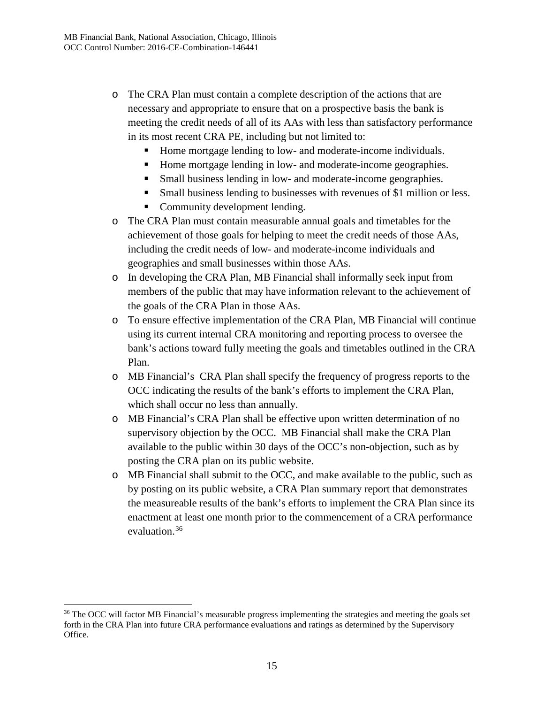- o The CRA Plan must contain a complete description of the actions that are necessary and appropriate to ensure that on a prospective basis the bank is meeting the credit needs of all of its AAs with less than satisfactory performance in its most recent CRA PE, including but not limited to:
	- Home mortgage lending to low- and moderate-income individuals.
	- Home mortgage lending in low- and moderate-income geographies.
	- Small business lending in low- and moderate-income geographies.
	- Small business lending to businesses with revenues of \$1 million or less.
	- Community development lending.
- o The CRA Plan must contain measurable annual goals and timetables for the achievement of those goals for helping to meet the credit needs of those AAs, including the credit needs of low- and moderate-income individuals and geographies and small businesses within those AAs.
- o In developing the CRA Plan, MB Financial shall informally seek input from members of the public that may have information relevant to the achievement of the goals of the CRA Plan in those AAs.
- o To ensure effective implementation of the CRA Plan, MB Financial will continue using its current internal CRA monitoring and reporting process to oversee the bank's actions toward fully meeting the goals and timetables outlined in the CRA Plan.
- o MB Financial's CRA Plan shall specify the frequency of progress reports to the OCC indicating the results of the bank's efforts to implement the CRA Plan, which shall occur no less than annually.
- o MB Financial's CRA Plan shall be effective upon written determination of no supervisory objection by the OCC. MB Financial shall make the CRA Plan available to the public within 30 days of the OCC's non-objection, such as by posting the CRA plan on its public website.
- o MB Financial shall submit to the OCC, and make available to the public, such as by posting on its public website, a CRA Plan summary report that demonstrates the measureable results of the bank's efforts to implement the CRA Plan since its enactment at least one month prior to the commencement of a CRA performance evaluation.[36](#page-14-0)

<span id="page-14-0"></span><sup>&</sup>lt;sup>36</sup> The OCC will factor MB Financial's measurable progress implementing the strategies and meeting the goals set forth in the CRA Plan into future CRA performance evaluations and ratings as determined by the Supervisory Office.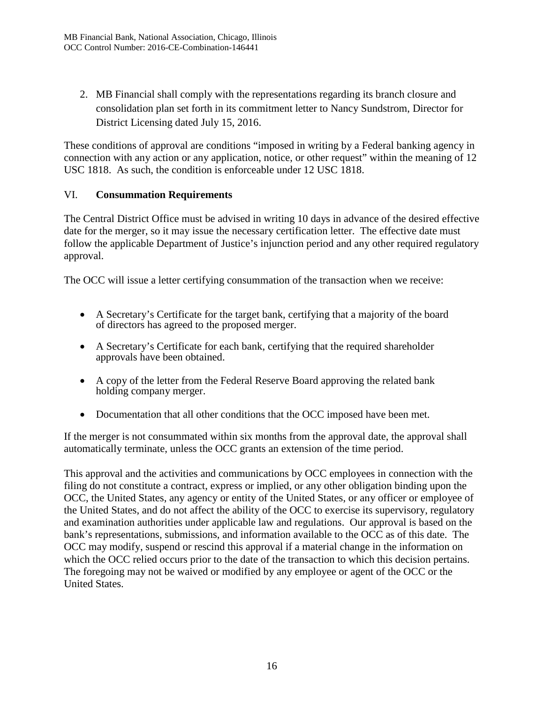2. MB Financial shall comply with the representations regarding its branch closure and consolidation plan set forth in its commitment letter to Nancy Sundstrom, Director for District Licensing dated July 15, 2016.

These conditions of approval are conditions "imposed in writing by a Federal banking agency in connection with any action or any application, notice, or other request" within the meaning of 12 USC 1818. As such, the condition is enforceable under 12 USC 1818.

## VI. **Consummation Requirements**

The Central District Office must be advised in writing 10 days in advance of the desired effective date for the merger, so it may issue the necessary certification letter. The effective date must follow the applicable Department of Justice's injunction period and any other required regulatory approval.

The OCC will issue a letter certifying consummation of the transaction when we receive:

- A Secretary's Certificate for the target bank, certifying that a majority of the board of directors has agreed to the proposed merger.
- A Secretary's Certificate for each bank, certifying that the required shareholder approvals have been obtained.
- A copy of the letter from the Federal Reserve Board approving the related bank holding company merger.
- Documentation that all other conditions that the OCC imposed have been met.

If the merger is not consummated within six months from the approval date, the approval shall automatically terminate, unless the OCC grants an extension of the time period.

This approval and the activities and communications by OCC employees in connection with the filing do not constitute a contract, express or implied, or any other obligation binding upon the OCC, the United States, any agency or entity of the United States, or any officer or employee of the United States, and do not affect the ability of the OCC to exercise its supervisory, regulatory and examination authorities under applicable law and regulations. Our approval is based on the bank's representations, submissions, and information available to the OCC as of this date. The OCC may modify, suspend or rescind this approval if a material change in the information on which the OCC relied occurs prior to the date of the transaction to which this decision pertains. The foregoing may not be waived or modified by any employee or agent of the OCC or the United States.